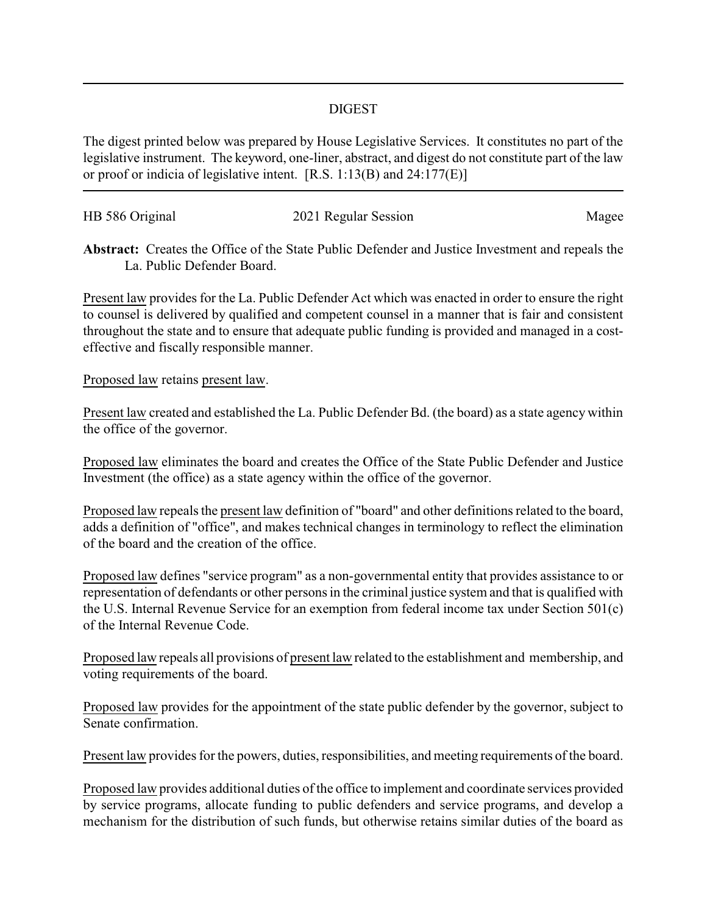## DIGEST

The digest printed below was prepared by House Legislative Services. It constitutes no part of the legislative instrument. The keyword, one-liner, abstract, and digest do not constitute part of the law or proof or indicia of legislative intent. [R.S. 1:13(B) and 24:177(E)]

| HB 586 Original | 2021 Regular Session | Magee |
|-----------------|----------------------|-------|
|                 |                      |       |

**Abstract:** Creates the Office of the State Public Defender and Justice Investment and repeals the La. Public Defender Board.

Present law provides for the La. Public Defender Act which was enacted in order to ensure the right to counsel is delivered by qualified and competent counsel in a manner that is fair and consistent throughout the state and to ensure that adequate public funding is provided and managed in a costeffective and fiscally responsible manner.

## Proposed law retains present law.

Present law created and established the La. Public Defender Bd. (the board) as a state agency within the office of the governor.

Proposed law eliminates the board and creates the Office of the State Public Defender and Justice Investment (the office) as a state agency within the office of the governor.

Proposed law repeals the present law definition of "board" and other definitions related to the board, adds a definition of "office", and makes technical changes in terminology to reflect the elimination of the board and the creation of the office.

Proposed law defines "service program" as a non-governmental entity that provides assistance to or representation of defendants or other persons in the criminal justice system and that is qualified with the U.S. Internal Revenue Service for an exemption from federal income tax under Section 501(c) of the Internal Revenue Code.

Proposed law repeals all provisions of present law related to the establishment and membership, and voting requirements of the board.

Proposed law provides for the appointment of the state public defender by the governor, subject to Senate confirmation.

Present law provides for the powers, duties, responsibilities, and meeting requirements of the board.

Proposed law provides additional duties of the office to implement and coordinate services provided by service programs, allocate funding to public defenders and service programs, and develop a mechanism for the distribution of such funds, but otherwise retains similar duties of the board as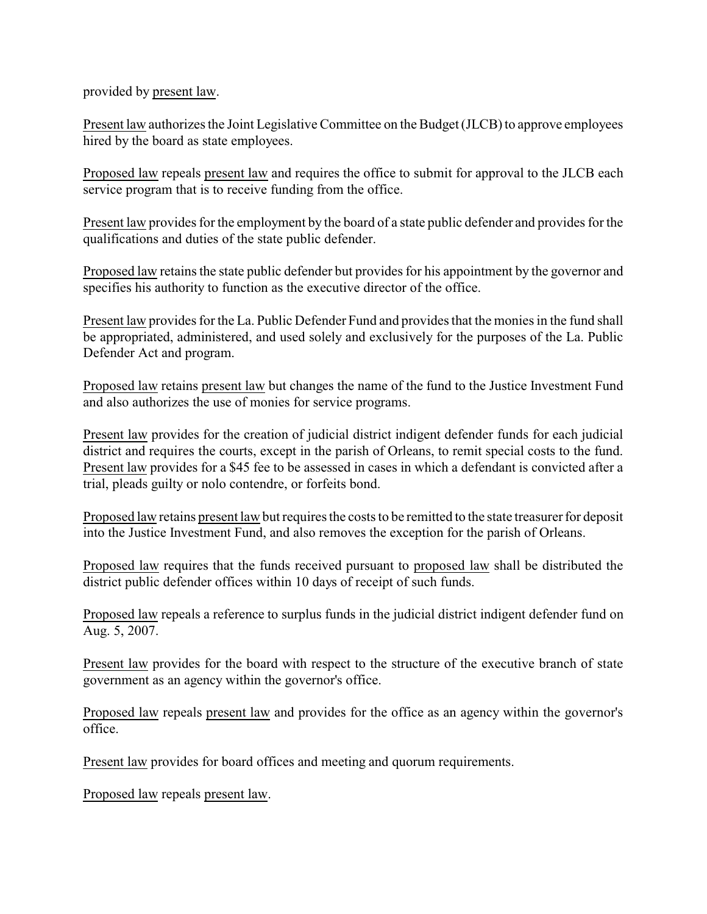provided by present law.

Present law authorizes the Joint Legislative Committee on the Budget (JLCB) to approve employees hired by the board as state employees.

Proposed law repeals present law and requires the office to submit for approval to the JLCB each service program that is to receive funding from the office.

Present law provides for the employment by the board of a state public defender and provides for the qualifications and duties of the state public defender.

Proposed law retains the state public defender but provides for his appointment by the governor and specifies his authority to function as the executive director of the office.

Present law provides for the La. Public Defender Fund and provides that the monies in the fund shall be appropriated, administered, and used solely and exclusively for the purposes of the La. Public Defender Act and program.

Proposed law retains present law but changes the name of the fund to the Justice Investment Fund and also authorizes the use of monies for service programs.

Present law provides for the creation of judicial district indigent defender funds for each judicial district and requires the courts, except in the parish of Orleans, to remit special costs to the fund. Present law provides for a \$45 fee to be assessed in cases in which a defendant is convicted after a trial, pleads guilty or nolo contendre, or forfeits bond.

Proposed law retains present law but requires the costs to be remitted to the state treasurer for deposit into the Justice Investment Fund, and also removes the exception for the parish of Orleans.

Proposed law requires that the funds received pursuant to proposed law shall be distributed the district public defender offices within 10 days of receipt of such funds.

Proposed law repeals a reference to surplus funds in the judicial district indigent defender fund on Aug. 5, 2007.

Present law provides for the board with respect to the structure of the executive branch of state government as an agency within the governor's office.

Proposed law repeals present law and provides for the office as an agency within the governor's office.

Present law provides for board offices and meeting and quorum requirements.

Proposed law repeals present law.